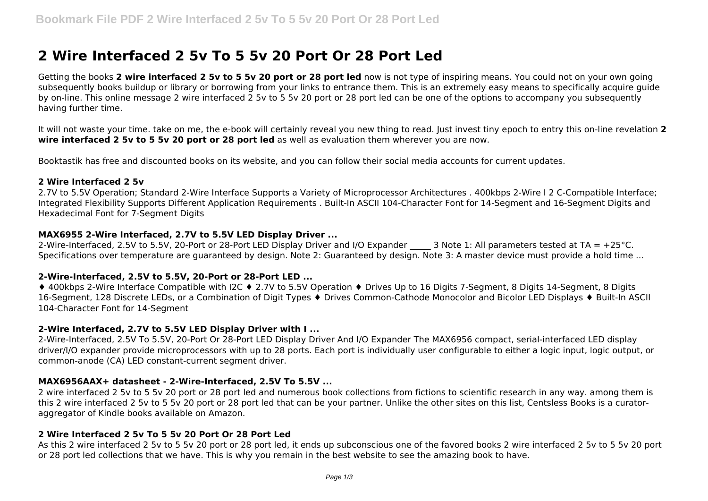# **2 Wire Interfaced 2 5v To 5 5v 20 Port Or 28 Port Led**

Getting the books **2 wire interfaced 2 5v to 5 5v 20 port or 28 port led** now is not type of inspiring means. You could not on your own going subsequently books buildup or library or borrowing from your links to entrance them. This is an extremely easy means to specifically acquire quide by on-line. This online message 2 wire interfaced 2 5v to 5 5v 20 port or 28 port led can be one of the options to accompany you subsequently having further time.

It will not waste your time. take on me, the e-book will certainly reveal you new thing to read. Just invest tiny epoch to entry this on-line revelation **2 wire interfaced 2 5v to 5 5v 20 port or 28 port led** as well as evaluation them wherever you are now.

Booktastik has free and discounted books on its website, and you can follow their social media accounts for current updates.

## **2 Wire Interfaced 2 5v**

2.7V to 5.5V Operation; Standard 2-Wire Interface Supports a Variety of Microprocessor Architectures . 400kbps 2-Wire I 2 C-Compatible Interface; Integrated Flexibility Supports Different Application Requirements . Built-In ASCII 104-Character Font for 14-Segment and 16-Segment Digits and Hexadecimal Font for 7-Segment Digits

## **MAX6955 2-Wire Interfaced, 2.7V to 5.5V LED Display Driver ...**

2-Wire-Interfaced, 2.5V to 5.5V, 20-Port or 28-Port LED Display Driver and I/O Expander 3 Note 1: All parameters tested at TA = +25°C. Specifications over temperature are guaranteed by design. Note 2: Guaranteed by design. Note 3: A master device must provide a hold time ...

## **2-Wire-Interfaced, 2.5V to 5.5V, 20-Port or 28-Port LED ...**

♦ 400kbps 2-Wire Interface Compatible with I2C ♦ 2.7V to 5.5V Operation ♦ Drives Up to 16 Digits 7-Segment, 8 Digits 14-Segment, 8 Digits 16-Segment, 128 Discrete LEDs, or a Combination of Digit Types ♦ Drives Common-Cathode Monocolor and Bicolor LED Displays ♦ Built-In ASCII 104-Character Font for 14-Segment

## **2-Wire Interfaced, 2.7V to 5.5V LED Display Driver with I ...**

2-Wire-Interfaced, 2.5V To 5.5V, 20-Port Or 28-Port LED Display Driver And I/O Expander The MAX6956 compact, serial-interfaced LED display driver/I/O expander provide microprocessors with up to 28 ports. Each port is individually user configurable to either a logic input, logic output, or common-anode (CA) LED constant-current segment driver.

## **MAX6956AAX+ datasheet - 2-Wire-Interfaced, 2.5V To 5.5V ...**

2 wire interfaced 2 5v to 5 5v 20 port or 28 port led and numerous book collections from fictions to scientific research in any way. among them is this 2 wire interfaced 2 5v to 5 5v 20 port or 28 port led that can be your partner. Unlike the other sites on this list, Centsless Books is a curatoraggregator of Kindle books available on Amazon.

## **2 Wire Interfaced 2 5v To 5 5v 20 Port Or 28 Port Led**

As this 2 wire interfaced 2 5v to 5 5v 20 port or 28 port led, it ends up subconscious one of the favored books 2 wire interfaced 2 5v to 5 5v 20 port or 28 port led collections that we have. This is why you remain in the best website to see the amazing book to have.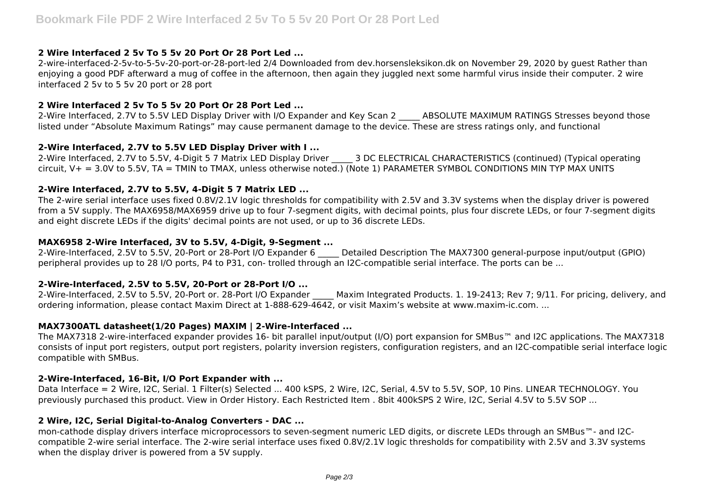# **2 Wire Interfaced 2 5v To 5 5v 20 Port Or 28 Port Led ...**

2-wire-interfaced-2-5v-to-5-5v-20-port-or-28-port-led 2/4 Downloaded from dev.horsensleksikon.dk on November 29, 2020 by guest Rather than enjoying a good PDF afterward a mug of coffee in the afternoon, then again they juggled next some harmful virus inside their computer. 2 wire interfaced 2 5v to 5 5v 20 port or 28 port

# **2 Wire Interfaced 2 5v To 5 5v 20 Port Or 28 Port Led ...**

2-Wire Interfaced, 2.7V to 5.5V LED Display Driver with I/O Expander and Key Scan 2 \_\_\_\_\_ ABSOLUTE MAXIMUM RATINGS Stresses beyond those listed under "Absolute Maximum Ratings" may cause permanent damage to the device. These are stress ratings only, and functional

# **2-Wire Interfaced, 2.7V to 5.5V LED Display Driver with I ...**

2-Wire Interfaced, 2.7V to 5.5V, 4-Digit 5 7 Matrix LED Display Driver 3 DC ELECTRICAL CHARACTERISTICS (continued) (Typical operating circuit, V+ = 3.0V to 5.5V, TA = TMIN to TMAX, unless otherwise noted.) (Note 1) PARAMETER SYMBOL CONDITIONS MIN TYP MAX UNITS

# **2-Wire Interfaced, 2.7V to 5.5V, 4-Digit 5 7 Matrix LED ...**

The 2-wire serial interface uses fixed 0.8V/2.1V logic thresholds for compatibility with 2.5V and 3.3V systems when the display driver is powered from a 5V supply. The MAX6958/MAX6959 drive up to four 7-segment digits, with decimal points, plus four discrete LEDs, or four 7-segment digits and eight discrete LEDs if the digits' decimal points are not used, or up to 36 discrete LEDs.

# **MAX6958 2-Wire Interfaced, 3V to 5.5V, 4-Digit, 9-Segment ...**

2-Wire-Interfaced, 2.5V to 5.5V, 20-Port or 28-Port I/O Expander 6 \_\_\_\_\_ Detailed Description The MAX7300 general-purpose input/output (GPIO) peripheral provides up to 28 I/O ports, P4 to P31, con- trolled through an I2C-compatible serial interface. The ports can be ...

# **2-Wire-Interfaced, 2.5V to 5.5V, 20-Port or 28-Port I/O ...**

2-Wire-Interfaced, 2.5V to 5.5V, 20-Port or. 28-Port I/O Expander \_\_\_\_\_ Maxim Integrated Products. 1. 19-2413; Rev 7; 9/11. For pricing, delivery, and ordering information, please contact Maxim Direct at 1-888-629-4642, or visit Maxim's website at www.maxim-ic.com. ...

# **MAX7300ATL datasheet(1/20 Pages) MAXIM | 2-Wire-Interfaced ...**

The MAX7318 2-wire-interfaced expander provides 16- bit parallel input/output (I/O) port expansion for SMBus™ and I2C applications. The MAX7318 consists of input port registers, output port registers, polarity inversion registers, configuration registers, and an I2C-compatible serial interface logic compatible with SMBus.

# **2-Wire-Interfaced, 16-Bit, I/O Port Expander with ...**

Data Interface = 2 Wire, I2C, Serial. 1 Filter(s) Selected ... 400 kSPS, 2 Wire, I2C, Serial, 4.5V to 5.5V, SOP, 10 Pins. LINEAR TECHNOLOGY. You previously purchased this product. View in Order History. Each Restricted Item . 8bit 400kSPS 2 Wire, I2C, Serial 4.5V to 5.5V SOP ...

# **2 Wire, I2C, Serial Digital-to-Analog Converters - DAC ...**

mon-cathode display drivers interface microprocessors to seven-segment numeric LED digits, or discrete LEDs through an SMBus™- and I2Ccompatible 2-wire serial interface. The 2-wire serial interface uses fixed 0.8V/2.1V logic thresholds for compatibility with 2.5V and 3.3V systems when the display driver is powered from a 5V supply.